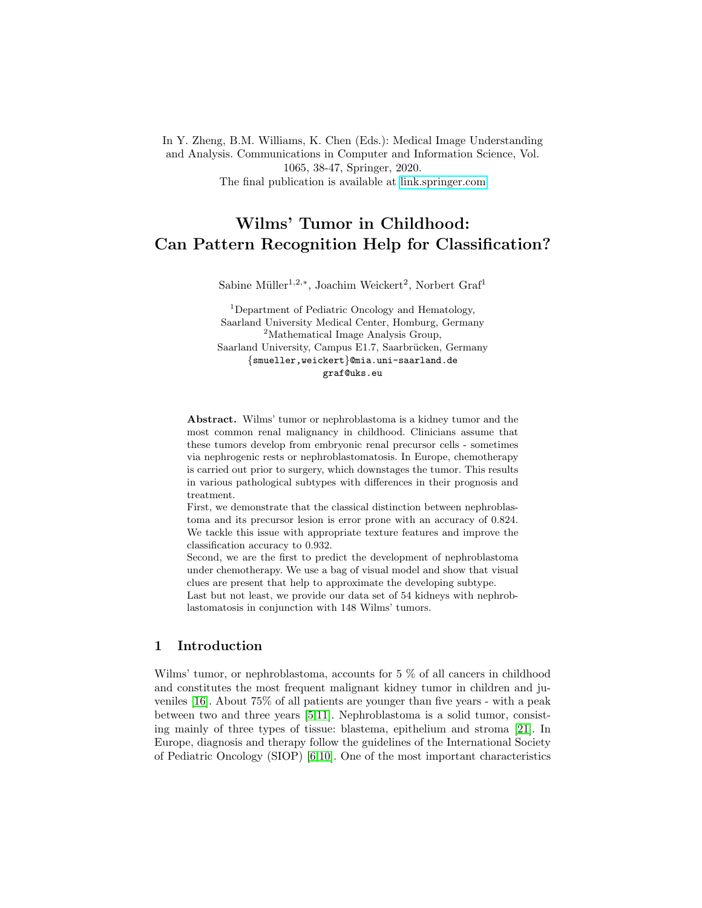In Y. Zheng, B.M. Williams, K. Chen (Eds.): Medical Image Understanding and Analysis. Communications in Computer and Information Science, Vol. 1065, 38-47, Springer, 2020. The final publication is available at [link.springer.com](https://doi.org/10.1007/978-3-030-39343-4_4)

# Wilms' Tumor in Childhood: Can Pattern Recognition Help for Classification?

Sabine Müller<sup>1,2,∗</sup>, Joachim Weickert<sup>2</sup>, Norbert Graf<sup>1</sup>

<sup>1</sup>Department of Pediatric Oncology and Hematology, Saarland University Medical Center, Homburg, Germany <sup>2</sup>Mathematical Image Analysis Group, Saarland University, Campus E1.7, Saarbrücken, Germany {smueller,weickert}@mia.uni-saarland.de graf@uks.eu

Abstract. Wilms' tumor or nephroblastoma is a kidney tumor and the most common renal malignancy in childhood. Clinicians assume that these tumors develop from embryonic renal precursor cells - sometimes via nephrogenic rests or nephroblastomatosis. In Europe, chemotherapy is carried out prior to surgery, which downstages the tumor. This results in various pathological subtypes with differences in their prognosis and treatment.

First, we demonstrate that the classical distinction between nephroblastoma and its precursor lesion is error prone with an accuracy of 0.824. We tackle this issue with appropriate texture features and improve the classification accuracy to 0.932.

Second, we are the first to predict the development of nephroblastoma under chemotherapy. We use a bag of visual model and show that visual clues are present that help to approximate the developing subtype.

Last but not least, we provide our data set of 54 kidneys with nephroblastomatosis in conjunction with 148 Wilms' tumors.

# 1 Introduction

Wilms' tumor, or nephroblastoma, accounts for 5 % of all cancers in childhood and constitutes the most frequent malignant kidney tumor in children and juveniles [\[16\]](#page-9-0). About 75% of all patients are younger than five years - with a peak between two and three years [\[5](#page-9-1)[,11\]](#page-9-2). Nephroblastoma is a solid tumor, consisting mainly of three types of tissue: blastema, epithelium and stroma [\[21\]](#page-10-0). In Europe, diagnosis and therapy follow the guidelines of the International Society of Pediatric Oncology (SIOP) [\[6](#page-9-3)[,10\]](#page-9-4). One of the most important characteristics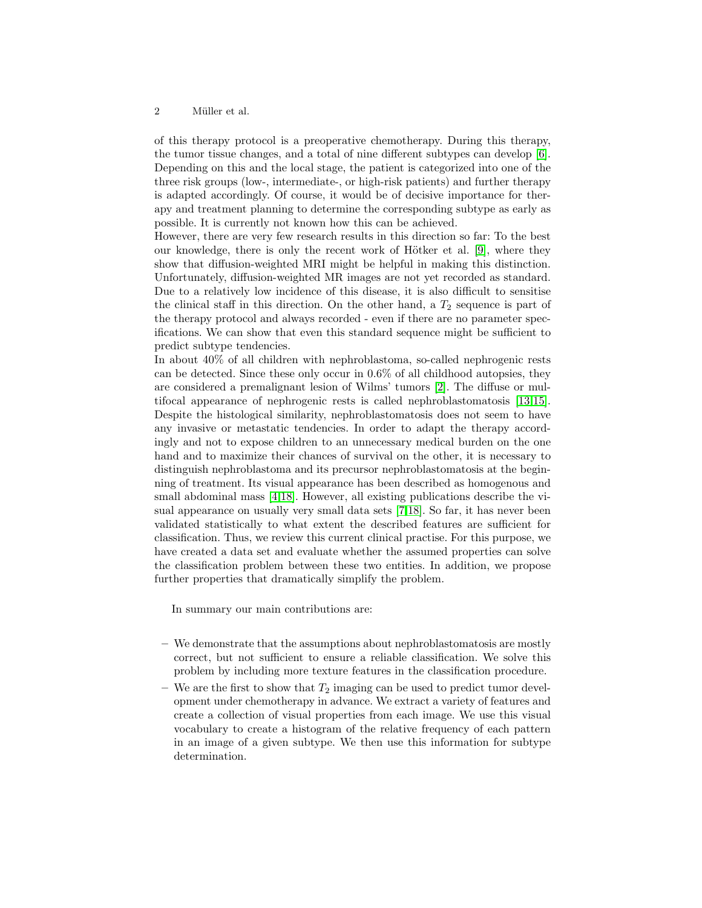#### 2 Müller et al.

of this therapy protocol is a preoperative chemotherapy. During this therapy, the tumor tissue changes, and a total of nine different subtypes can develop [\[6\]](#page-9-3). Depending on this and the local stage, the patient is categorized into one of the three risk groups (low-, intermediate-, or high-risk patients) and further therapy is adapted accordingly. Of course, it would be of decisive importance for therapy and treatment planning to determine the corresponding subtype as early as possible. It is currently not known how this can be achieved.

However, there are very few research results in this direction so far: To the best our knowledge, there is only the recent work of Hötker et al.  $[9]$ , where they show that diffusion-weighted MRI might be helpful in making this distinction. Unfortunately, diffusion-weighted MR images are not yet recorded as standard. Due to a relatively low incidence of this disease, it is also difficult to sensitise the clinical staff in this direction. On the other hand, a  $T_2$  sequence is part of the therapy protocol and always recorded - even if there are no parameter specifications. We can show that even this standard sequence might be sufficient to predict subtype tendencies.

In about 40% of all children with nephroblastoma, so-called nephrogenic rests can be detected. Since these only occur in 0.6% of all childhood autopsies, they are considered a premalignant lesion of Wilms' tumors [\[2\]](#page-8-0). The diffuse or multifocal appearance of nephrogenic rests is called nephroblastomatosis [\[13,](#page-9-6)[15\]](#page-9-7). Despite the histological similarity, nephroblastomatosis does not seem to have any invasive or metastatic tendencies. In order to adapt the therapy accordingly and not to expose children to an unnecessary medical burden on the one hand and to maximize their chances of survival on the other, it is necessary to distinguish nephroblastoma and its precursor nephroblastomatosis at the beginning of treatment. Its visual appearance has been described as homogenous and small abdominal mass [\[4,](#page-9-8)[18\]](#page-9-9). However, all existing publications describe the visual appearance on usually very small data sets [\[7,](#page-9-10)[18\]](#page-9-9). So far, it has never been validated statistically to what extent the described features are sufficient for classification. Thus, we review this current clinical practise. For this purpose, we have created a data set and evaluate whether the assumed properties can solve the classification problem between these two entities. In addition, we propose further properties that dramatically simplify the problem.

In summary our main contributions are:

- We demonstrate that the assumptions about nephroblastomatosis are mostly correct, but not sufficient to ensure a reliable classification. We solve this problem by including more texture features in the classification procedure.
- We are the first to show that  $T_2$  imaging can be used to predict tumor development under chemotherapy in advance. We extract a variety of features and create a collection of visual properties from each image. We use this visual vocabulary to create a histogram of the relative frequency of each pattern in an image of a given subtype. We then use this information for subtype determination.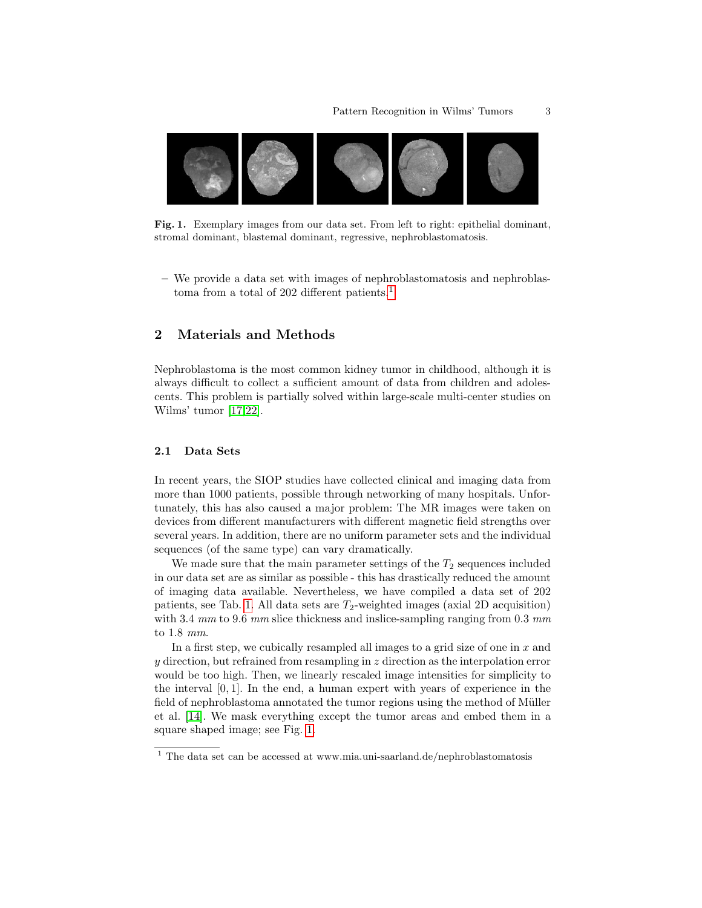

Fig. 1. Exemplary images from our data set. From left to right: epithelial dominant, stromal dominant, blastemal dominant, regressive, nephroblastomatosis.

<span id="page-2-1"></span>– We provide a data set with images of nephroblastomatosis and nephroblas-toma from a total of 202 different patients.<sup>[1](#page-2-0)</sup>

# 2 Materials and Methods

Nephroblastoma is the most common kidney tumor in childhood, although it is always difficult to collect a sufficient amount of data from children and adolescents. This problem is partially solved within large-scale multi-center studies on Wilms' tumor [\[17,](#page-9-11)[22\]](#page-10-1).

## 2.1 Data Sets

In recent years, the SIOP studies have collected clinical and imaging data from more than 1000 patients, possible through networking of many hospitals. Unfortunately, this has also caused a major problem: The MR images were taken on devices from different manufacturers with different magnetic field strengths over several years. In addition, there are no uniform parameter sets and the individual sequences (of the same type) can vary dramatically.

We made sure that the main parameter settings of the  $T_2$  sequences included in our data set are as similar as possible - this has drastically reduced the amount of imaging data available. Nevertheless, we have compiled a data set of 202 patients, see Tab. [1.](#page-3-0) All data sets are  $T_2$ -weighted images (axial 2D acquisition) with 3.4  $mm$  to 9.6  $mm$  slice thickness and inslice-sampling ranging from 0.3  $mm$ to 1.8 mm.

In a first step, we cubically resampled all images to a grid size of one in x and  $y$  direction, but refrained from resampling in  $z$  direction as the interpolation error would be too high. Then, we linearly rescaled image intensities for simplicity to the interval  $[0, 1]$ . In the end, a human expert with years of experience in the field of nephroblastoma annotated the tumor regions using the method of Müller et al. [\[14\]](#page-9-12). We mask everything except the tumor areas and embed them in a square shaped image; see Fig. [1.](#page-2-1)

<span id="page-2-0"></span> $1$  The data set can be accessed at www.mia.uni-saarland.de/nephroblastomatosis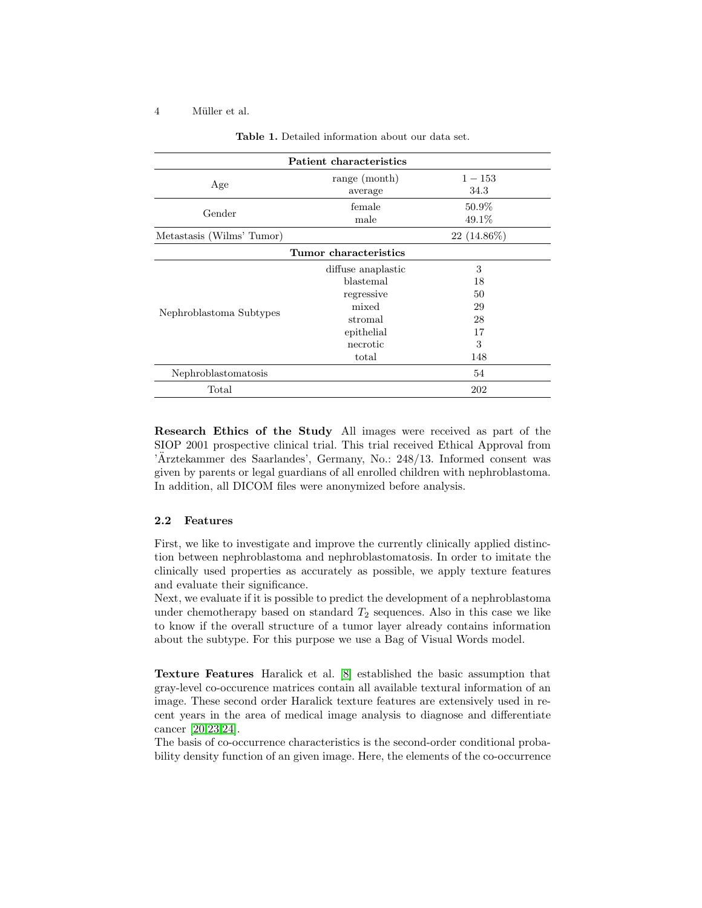#### 4 Müller et al.

| Patient characteristics   |                                                                                                      |                                             |  |  |
|---------------------------|------------------------------------------------------------------------------------------------------|---------------------------------------------|--|--|
| Age                       | range (month)<br>average                                                                             | $1 - 153$<br>34.3                           |  |  |
| Gender                    | female<br>male                                                                                       | $50.9\%$<br>49.1%                           |  |  |
| Metastasis (Wilms' Tumor) |                                                                                                      | $22(14.86\%)$                               |  |  |
| Tumor characteristics     |                                                                                                      |                                             |  |  |
| Nephroblastoma Subtypes   | diffuse anaplastic<br>blastemal<br>regressive<br>mixed<br>stromal<br>epithelial<br>necrotic<br>total | 3<br>18<br>50<br>29<br>28<br>17<br>3<br>148 |  |  |
| Nephroblastomatosis       |                                                                                                      | 54                                          |  |  |
| Total                     |                                                                                                      | 202                                         |  |  |

<span id="page-3-0"></span>Table 1. Detailed information about our data set.

Research Ethics of the Study All images were received as part of the SIOP 2001 prospective clinical trial. This trial received Ethical Approval from 'Arztekammer des Saarlandes', Germany, No.: 248/13. Informed consent was given by parents or legal guardians of all enrolled children with nephroblastoma. In addition, all DICOM files were anonymized before analysis.

## 2.2 Features

First, we like to investigate and improve the currently clinically applied distinction between nephroblastoma and nephroblastomatosis. In order to imitate the clinically used properties as accurately as possible, we apply texture features and evaluate their significance.

Next, we evaluate if it is possible to predict the development of a nephroblastoma under chemotherapy based on standard  $T_2$  sequences. Also in this case we like to know if the overall structure of a tumor layer already contains information about the subtype. For this purpose we use a Bag of Visual Words model.

Texture Features Haralick et al. [\[8\]](#page-9-13) established the basic assumption that gray-level co-occurence matrices contain all available textural information of an image. These second order Haralick texture features are extensively used in recent years in the area of medical image analysis to diagnose and differentiate cancer [\[20,](#page-9-14)[23](#page-10-2)[,24\]](#page-10-3).

The basis of co-occurrence characteristics is the second-order conditional probability density function of an given image. Here, the elements of the co-occurrence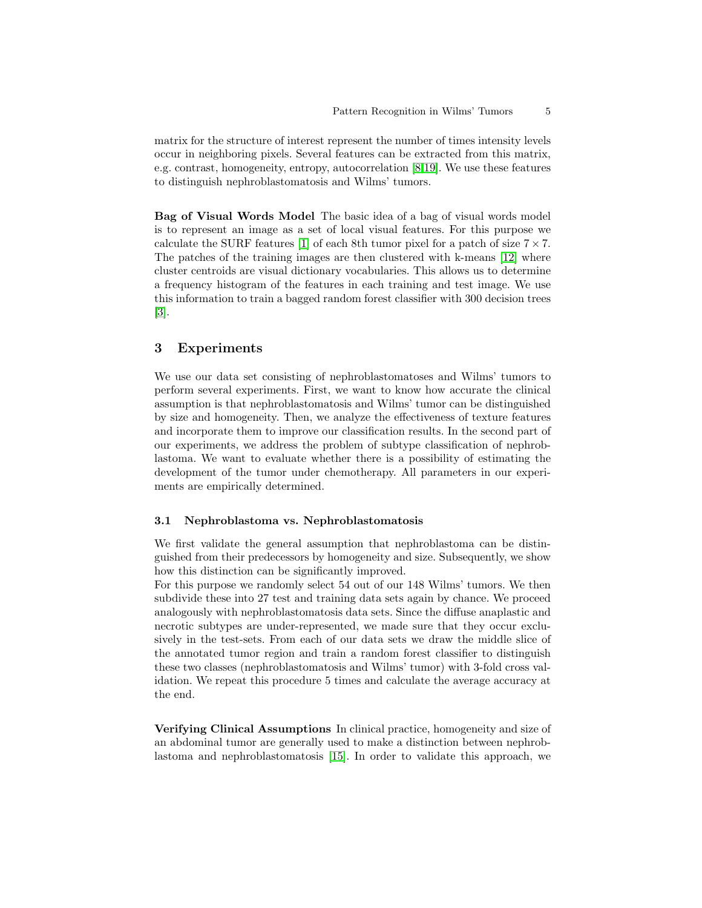matrix for the structure of interest represent the number of times intensity levels occur in neighboring pixels. Several features can be extracted from this matrix, e.g. contrast, homogeneity, entropy, autocorrelation [\[8,](#page-9-13)[19\]](#page-9-15). We use these features to distinguish nephroblastomatosis and Wilms' tumors.

Bag of Visual Words Model The basic idea of a bag of visual words model is to represent an image as a set of local visual features. For this purpose we calculate the SURF features [\[1\]](#page-8-1) of each 8th tumor pixel for a patch of size  $7 \times 7$ . The patches of the training images are then clustered with k-means [\[12\]](#page-9-16) where cluster centroids are visual dictionary vocabularies. This allows us to determine a frequency histogram of the features in each training and test image. We use this information to train a bagged random forest classifier with 300 decision trees [\[3\]](#page-8-2).

## 3 Experiments

We use our data set consisting of nephroblastomatoses and Wilms' tumors to perform several experiments. First, we want to know how accurate the clinical assumption is that nephroblastomatosis and Wilms' tumor can be distinguished by size and homogeneity. Then, we analyze the effectiveness of texture features and incorporate them to improve our classification results. In the second part of our experiments, we address the problem of subtype classification of nephroblastoma. We want to evaluate whether there is a possibility of estimating the development of the tumor under chemotherapy. All parameters in our experiments are empirically determined.

## 3.1 Nephroblastoma vs. Nephroblastomatosis

We first validate the general assumption that nephroblastoma can be distinguished from their predecessors by homogeneity and size. Subsequently, we show how this distinction can be significantly improved.

For this purpose we randomly select 54 out of our 148 Wilms' tumors. We then subdivide these into 27 test and training data sets again by chance. We proceed analogously with nephroblastomatosis data sets. Since the diffuse anaplastic and necrotic subtypes are under-represented, we made sure that they occur exclusively in the test-sets. From each of our data sets we draw the middle slice of the annotated tumor region and train a random forest classifier to distinguish these two classes (nephroblastomatosis and Wilms' tumor) with 3-fold cross validation. We repeat this procedure 5 times and calculate the average accuracy at the end.

Verifying Clinical Assumptions In clinical practice, homogeneity and size of an abdominal tumor are generally used to make a distinction between nephroblastoma and nephroblastomatosis [\[15\]](#page-9-7). In order to validate this approach, we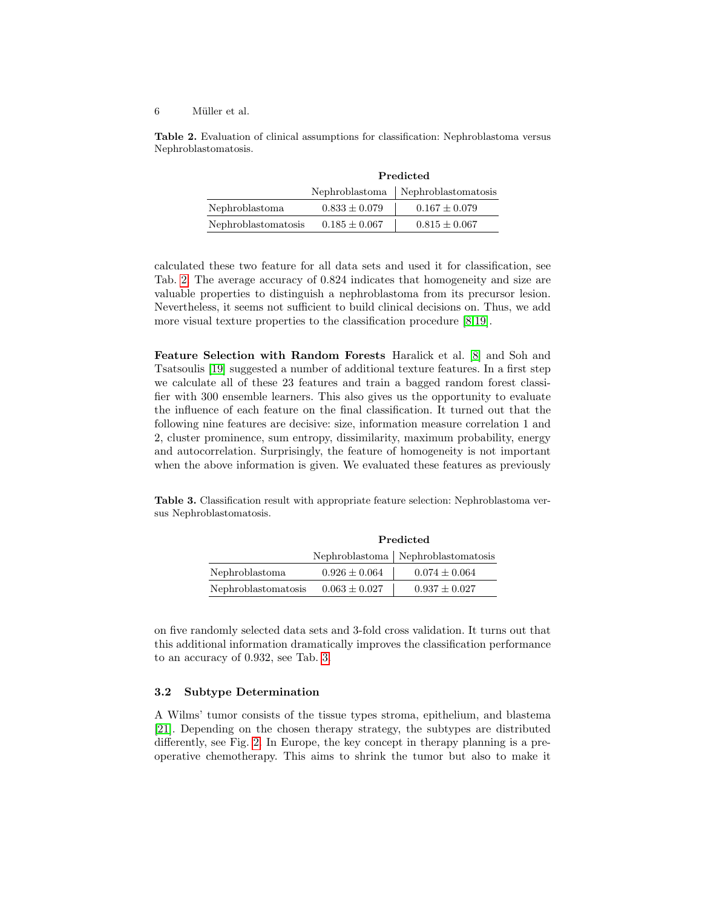#### 6 Müller et al.

Table 2. Evaluation of clinical assumptions for classification: Nephroblastoma versus Nephroblastomatosis.

<span id="page-5-0"></span>

|                     | Predicted         |                     |
|---------------------|-------------------|---------------------|
|                     | Nephroblastoma    | Nephroblastomatosis |
| Nephroblastoma      | $0.833 \pm 0.079$ | $0.167 \pm 0.079$   |
| Nephroblastomatosis | $0.185 \pm 0.067$ | $0.815 \pm 0.067$   |

calculated these two feature for all data sets and used it for classification, see Tab. [2.](#page-5-0) The average accuracy of 0.824 indicates that homogeneity and size are valuable properties to distinguish a nephroblastoma from its precursor lesion. Nevertheless, it seems not sufficient to build clinical decisions on. Thus, we add more visual texture properties to the classification procedure [\[8,](#page-9-13)[19\]](#page-9-15).

Feature Selection with Random Forests Haralick et al. [\[8\]](#page-9-13) and Soh and Tsatsoulis [\[19\]](#page-9-15) suggested a number of additional texture features. In a first step we calculate all of these 23 features and train a bagged random forest classifier with 300 ensemble learners. This also gives us the opportunity to evaluate the influence of each feature on the final classification. It turned out that the following nine features are decisive: size, information measure correlation 1 and 2, cluster prominence, sum entropy, dissimilarity, maximum probability, energy and autocorrelation. Surprisingly, the feature of homogeneity is not important when the above information is given. We evaluated these features as previously

Table 3. Classification result with appropriate feature selection: Nephroblastoma versus Nephroblastomatosis.

<span id="page-5-1"></span>

|                     | Predicted         |                                      |
|---------------------|-------------------|--------------------------------------|
|                     |                   | Nephroblastoma   Nephroblastomatosis |
| Nephroblastoma      | $0.926 \pm 0.064$ | $0.074 \pm 0.064$                    |
| Nephroblastomatosis | $0.063 \pm 0.027$ | $0.937 \pm 0.027$                    |

on five randomly selected data sets and 3-fold cross validation. It turns out that this additional information dramatically improves the classification performance to an accuracy of 0.932, see Tab. [3.](#page-5-1)

## 3.2 Subtype Determination

A Wilms' tumor consists of the tissue types stroma, epithelium, and blastema [\[21\]](#page-10-0). Depending on the chosen therapy strategy, the subtypes are distributed differently, see Fig. [2.](#page-6-0) In Europe, the key concept in therapy planning is a preoperative chemotherapy. This aims to shrink the tumor but also to make it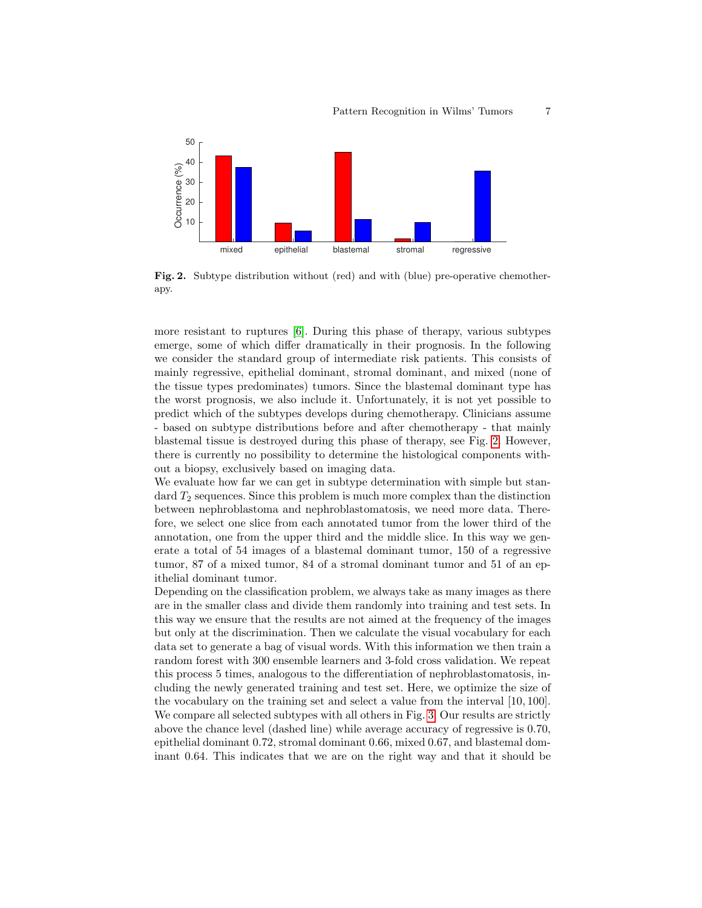

<span id="page-6-0"></span>Fig. 2. Subtype distribution without (red) and with (blue) pre-operative chemotherapy.

more resistant to ruptures [\[6\]](#page-9-3). During this phase of therapy, various subtypes emerge, some of which differ dramatically in their prognosis. In the following we consider the standard group of intermediate risk patients. This consists of mainly regressive, epithelial dominant, stromal dominant, and mixed (none of the tissue types predominates) tumors. Since the blastemal dominant type has the worst prognosis, we also include it. Unfortunately, it is not yet possible to predict which of the subtypes develops during chemotherapy. Clinicians assume - based on subtype distributions before and after chemotherapy - that mainly blastemal tissue is destroyed during this phase of therapy, see Fig. [2.](#page-6-0) However, there is currently no possibility to determine the histological components without a biopsy, exclusively based on imaging data.

We evaluate how far we can get in subtype determination with simple but standard  $T_2$  sequences. Since this problem is much more complex than the distinction between nephroblastoma and nephroblastomatosis, we need more data. Therefore, we select one slice from each annotated tumor from the lower third of the annotation, one from the upper third and the middle slice. In this way we generate a total of 54 images of a blastemal dominant tumor, 150 of a regressive tumor, 87 of a mixed tumor, 84 of a stromal dominant tumor and 51 of an epithelial dominant tumor.

Depending on the classification problem, we always take as many images as there are in the smaller class and divide them randomly into training and test sets. In this way we ensure that the results are not aimed at the frequency of the images but only at the discrimination. Then we calculate the visual vocabulary for each data set to generate a bag of visual words. With this information we then train a random forest with 300 ensemble learners and 3-fold cross validation. We repeat this process 5 times, analogous to the differentiation of nephroblastomatosis, including the newly generated training and test set. Here, we optimize the size of the vocabulary on the training set and select a value from the interval [10, 100]. We compare all selected subtypes with all others in Fig. [3.](#page-7-0) Our results are strictly above the chance level (dashed line) while average accuracy of regressive is 0.70, epithelial dominant 0.72, stromal dominant 0.66, mixed 0.67, and blastemal dominant 0.64. This indicates that we are on the right way and that it should be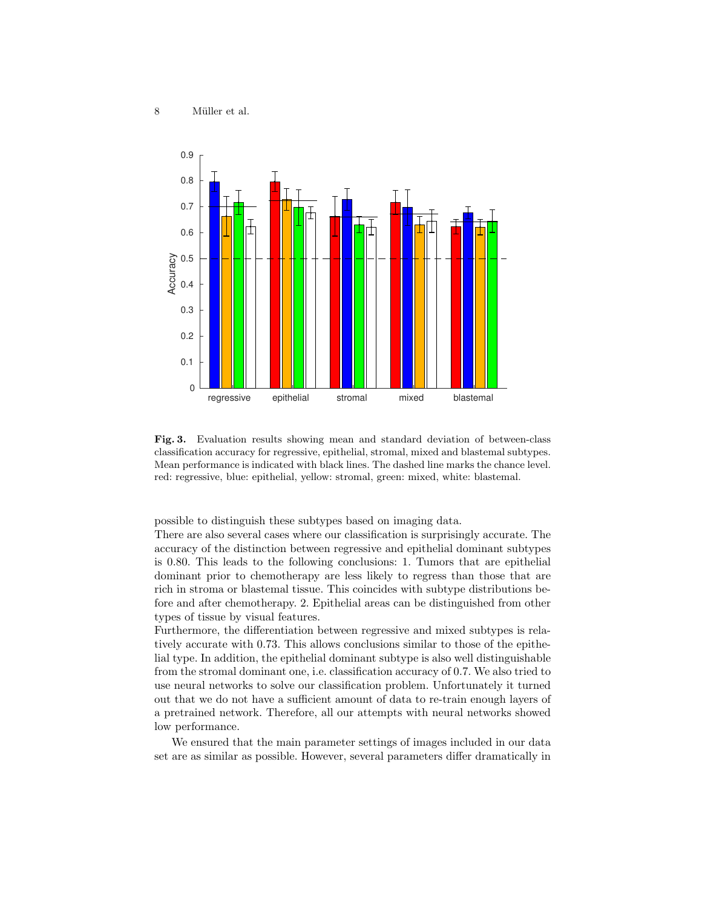

<span id="page-7-0"></span>Fig. 3. Evaluation results showing mean and standard deviation of between-class classification accuracy for regressive, epithelial, stromal, mixed and blastemal subtypes. Mean performance is indicated with black lines. The dashed line marks the chance level. red: regressive, blue: epithelial, yellow: stromal, green: mixed, white: blastemal.

possible to distinguish these subtypes based on imaging data.

There are also several cases where our classification is surprisingly accurate. The accuracy of the distinction between regressive and epithelial dominant subtypes is 0.80. This leads to the following conclusions: 1. Tumors that are epithelial dominant prior to chemotherapy are less likely to regress than those that are rich in stroma or blastemal tissue. This coincides with subtype distributions before and after chemotherapy. 2. Epithelial areas can be distinguished from other types of tissue by visual features.

Furthermore, the differentiation between regressive and mixed subtypes is relatively accurate with 0.73. This allows conclusions similar to those of the epithelial type. In addition, the epithelial dominant subtype is also well distinguishable from the stromal dominant one, i.e. classification accuracy of 0.7. We also tried to use neural networks to solve our classification problem. Unfortunately it turned out that we do not have a sufficient amount of data to re-train enough layers of a pretrained network. Therefore, all our attempts with neural networks showed low performance.

We ensured that the main parameter settings of images included in our data set are as similar as possible. However, several parameters differ dramatically in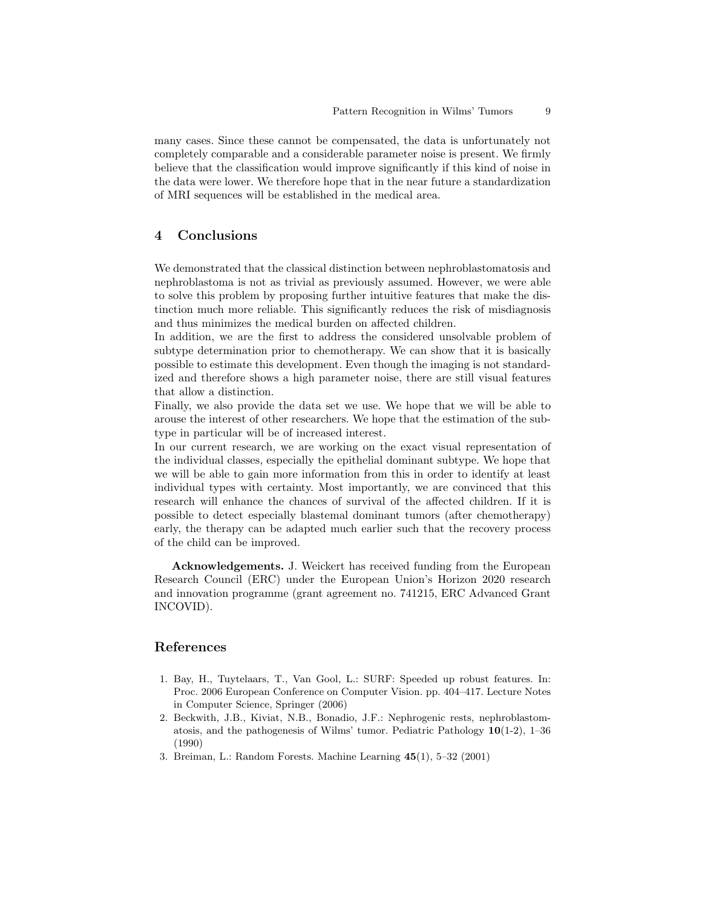many cases. Since these cannot be compensated, the data is unfortunately not completely comparable and a considerable parameter noise is present. We firmly believe that the classification would improve significantly if this kind of noise in the data were lower. We therefore hope that in the near future a standardization of MRI sequences will be established in the medical area.

# 4 Conclusions

We demonstrated that the classical distinction between nephroblastomatosis and nephroblastoma is not as trivial as previously assumed. However, we were able to solve this problem by proposing further intuitive features that make the distinction much more reliable. This significantly reduces the risk of misdiagnosis and thus minimizes the medical burden on affected children.

In addition, we are the first to address the considered unsolvable problem of subtype determination prior to chemotherapy. We can show that it is basically possible to estimate this development. Even though the imaging is not standardized and therefore shows a high parameter noise, there are still visual features that allow a distinction.

Finally, we also provide the data set we use. We hope that we will be able to arouse the interest of other researchers. We hope that the estimation of the subtype in particular will be of increased interest.

In our current research, we are working on the exact visual representation of the individual classes, especially the epithelial dominant subtype. We hope that we will be able to gain more information from this in order to identify at least individual types with certainty. Most importantly, we are convinced that this research will enhance the chances of survival of the affected children. If it is possible to detect especially blastemal dominant tumors (after chemotherapy) early, the therapy can be adapted much earlier such that the recovery process of the child can be improved.

Acknowledgements. J. Weickert has received funding from the European Research Council (ERC) under the European Union's Horizon 2020 research and innovation programme (grant agreement no. 741215, ERC Advanced Grant INCOVID).

## References

- <span id="page-8-1"></span>1. Bay, H., Tuytelaars, T., Van Gool, L.: SURF: Speeded up robust features. In: Proc. 2006 European Conference on Computer Vision. pp. 404–417. Lecture Notes in Computer Science, Springer (2006)
- <span id="page-8-0"></span>2. Beckwith, J.B., Kiviat, N.B., Bonadio, J.F.: Nephrogenic rests, nephroblastomatosis, and the pathogenesis of Wilms' tumor. Pediatric Pathology 10(1-2), 1–36 (1990)
- <span id="page-8-2"></span>3. Breiman, L.: Random Forests. Machine Learning 45(1), 5–32 (2001)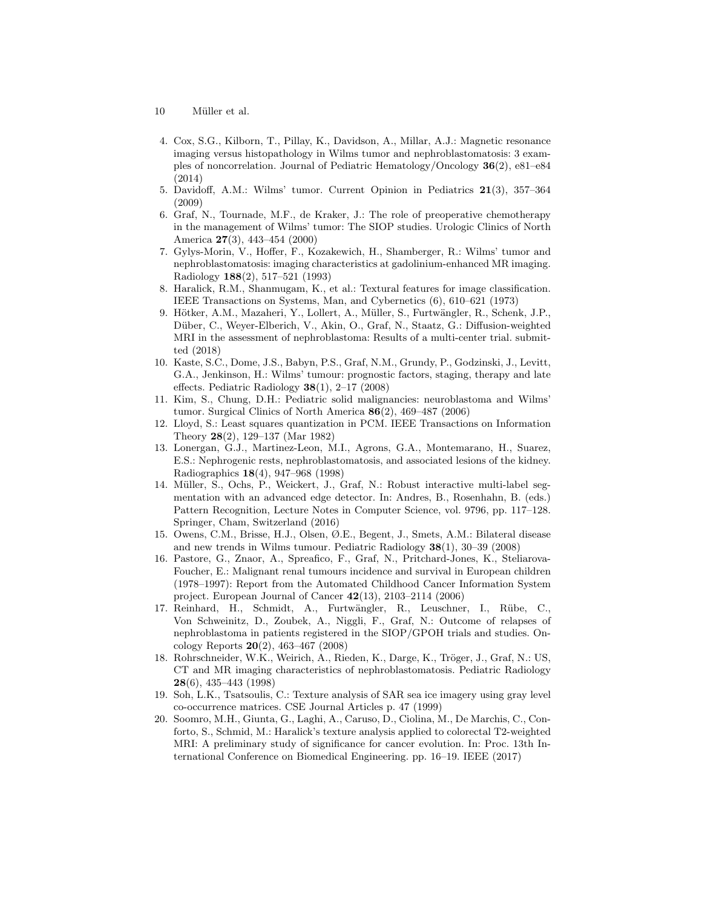- 10 Müller et al.
- <span id="page-9-8"></span>4. Cox, S.G., Kilborn, T., Pillay, K., Davidson, A., Millar, A.J.: Magnetic resonance imaging versus histopathology in Wilms tumor and nephroblastomatosis: 3 examples of noncorrelation. Journal of Pediatric Hematology/Oncology 36(2), e81–e84 (2014)
- <span id="page-9-1"></span>5. Davidoff, A.M.: Wilms' tumor. Current Opinion in Pediatrics 21(3), 357–364 (2009)
- <span id="page-9-3"></span>6. Graf, N., Tournade, M.F., de Kraker, J.: The role of preoperative chemotherapy in the management of Wilms' tumor: The SIOP studies. Urologic Clinics of North America 27(3), 443–454 (2000)
- <span id="page-9-10"></span>7. Gylys-Morin, V., Hoffer, F., Kozakewich, H., Shamberger, R.: Wilms' tumor and nephroblastomatosis: imaging characteristics at gadolinium-enhanced MR imaging. Radiology 188(2), 517–521 (1993)
- <span id="page-9-13"></span>8. Haralick, R.M., Shanmugam, K., et al.: Textural features for image classification. IEEE Transactions on Systems, Man, and Cybernetics (6), 610–621 (1973)
- <span id="page-9-5"></span>9. Hötker, A.M., Mazaheri, Y., Lollert, A., Müller, S., Furtwängler, R., Schenk, J.P., Düber, C., Weyer-Elberich, V., Akin, O., Graf, N., Staatz, G.: Diffusion-weighted MRI in the assessment of nephroblastoma: Results of a multi-center trial. submitted (2018)
- <span id="page-9-4"></span>10. Kaste, S.C., Dome, J.S., Babyn, P.S., Graf, N.M., Grundy, P., Godzinski, J., Levitt, G.A., Jenkinson, H.: Wilms' tumour: prognostic factors, staging, therapy and late effects. Pediatric Radiology 38(1), 2–17 (2008)
- <span id="page-9-2"></span>11. Kim, S., Chung, D.H.: Pediatric solid malignancies: neuroblastoma and Wilms' tumor. Surgical Clinics of North America 86(2), 469–487 (2006)
- <span id="page-9-16"></span>12. Lloyd, S.: Least squares quantization in PCM. IEEE Transactions on Information Theory 28(2), 129–137 (Mar 1982)
- <span id="page-9-6"></span>13. Lonergan, G.J., Martinez-Leon, M.I., Agrons, G.A., Montemarano, H., Suarez, E.S.: Nephrogenic rests, nephroblastomatosis, and associated lesions of the kidney. Radiographics 18(4), 947–968 (1998)
- <span id="page-9-12"></span>14. Müller, S., Ochs, P., Weickert, J., Graf, N.: Robust interactive multi-label segmentation with an advanced edge detector. In: Andres, B., Rosenhahn, B. (eds.) Pattern Recognition, Lecture Notes in Computer Science, vol. 9796, pp. 117–128. Springer, Cham, Switzerland (2016)
- <span id="page-9-7"></span>15. Owens, C.M., Brisse, H.J., Olsen, Ø.E., Begent, J., Smets, A.M.: Bilateral disease and new trends in Wilms tumour. Pediatric Radiology 38(1), 30–39 (2008)
- <span id="page-9-0"></span>16. Pastore, G., Znaor, A., Spreafico, F., Graf, N., Pritchard-Jones, K., Steliarova-Foucher, E.: Malignant renal tumours incidence and survival in European children (1978–1997): Report from the Automated Childhood Cancer Information System project. European Journal of Cancer  $42(13)$ ,  $2103-2114$   $(2006)$
- <span id="page-9-11"></span>17. Reinhard, H., Schmidt, A., Furtwängler, R., Leuschner, I., Rübe, C., Von Schweinitz, D., Zoubek, A., Niggli, F., Graf, N.: Outcome of relapses of nephroblastoma in patients registered in the SIOP/GPOH trials and studies. Oncology Reports 20(2), 463–467 (2008)
- <span id="page-9-9"></span>18. Rohrschneider, W.K., Weirich, A., Rieden, K., Darge, K., Tröger, J., Graf, N.: US, CT and MR imaging characteristics of nephroblastomatosis. Pediatric Radiology 28(6), 435–443 (1998)
- <span id="page-9-15"></span>19. Soh, L.K., Tsatsoulis, C.: Texture analysis of SAR sea ice imagery using gray level co-occurrence matrices. CSE Journal Articles p. 47 (1999)
- <span id="page-9-14"></span>20. Soomro, M.H., Giunta, G., Laghi, A., Caruso, D., Ciolina, M., De Marchis, C., Conforto, S., Schmid, M.: Haralick's texture analysis applied to colorectal T2-weighted MRI: A preliminary study of significance for cancer evolution. In: Proc. 13th International Conference on Biomedical Engineering. pp. 16–19. IEEE (2017)